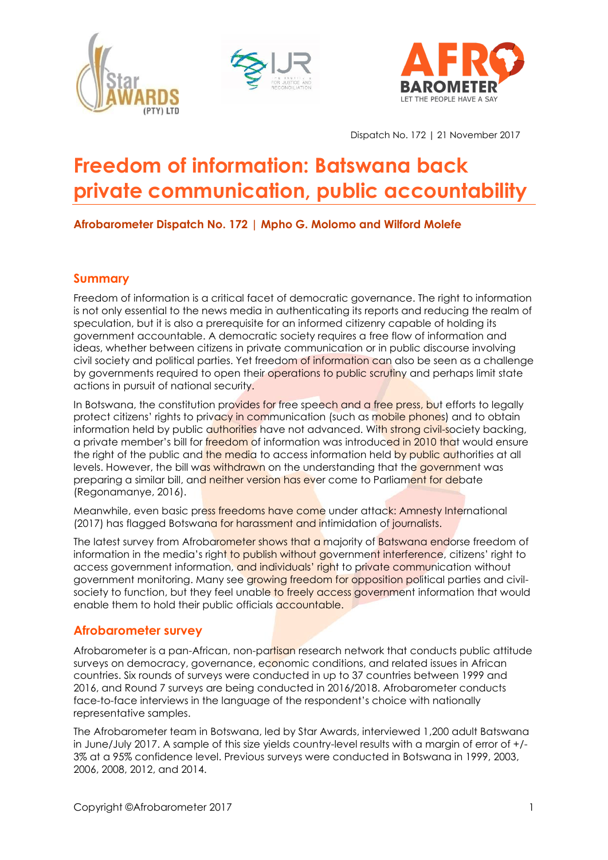





Dispatch No. 172 | 21 November 2017

# **Freedom of information: Batswana back private communication, public accountability**

# **Afrobarometer Dispatch No. 172 | Mpho G. Molomo and Wilford Molefe**

## **Summary**

Freedom of information is a critical facet of democratic governance. The right to information is not only essential to the news media in authenticating its reports and reducing the realm of speculation, but it is also a prerequisite for an informed citizenry capable of holding its government accountable. A democratic society requires a free flow of information and ideas, whether between citizens in private communication or in public discourse involving civil society and political parties. Yet freedom of information can also be seen as a challenge by governments required to open their operations to public scrutiny and perhaps limit state actions in pursuit of national security.

In Botswana, the constitution provides for free speech and a free press, but efforts to legally protect citizens' rights to privacy in communication (such as mobile phones) and to obtain information held by public authorities have not advanced. With strong civil-society backing, a private member's bill for freedom of information was introduced in 2010 that would ensure the right of the public and the media to access information held by public authorities at all levels. However, the bill was withdrawn on the understanding that the government was preparing a similar bill, and neither version has ever come to Parliament for debate (Regonamanye, 2016).

Meanwhile, even basic press freedoms have come under attack: Amnesty International (2017) has flagged Botswana for harassment and intimidation of journalists.

The latest survey from Afrobarometer shows that a majority of Batswana endorse freedom of information in the media's right to publish without government interference, citizens' right to access government information, and individuals' right to private communication without government monitoring. Many see growing freedom for opposition political parties and civilsociety to function, but they feel unable to freely access government information that would enable them to hold their public officials accountable.

## **Afrobarometer survey**

Afrobarometer is a pan-African, non-partisan research network that conducts public attitude surveys on democracy, governance, economic conditions, and related issues in African countries. Six rounds of surveys were conducted in up to 37 countries between 1999 and 2016, and Round 7 surveys are being conducted in 2016/2018. Afrobarometer conducts face-to-face interviews in the language of the respondent's choice with nationally representative samples.

The Afrobarometer team in Botswana, led by Star Awards, interviewed 1,200 adult Batswana in June/July 2017. A sample of this size yields country-level results with a margin of error of +/- 3% at a 95% confidence level. Previous surveys were conducted in Botswana in 1999, 2003, 2006, 2008, 2012, and 2014.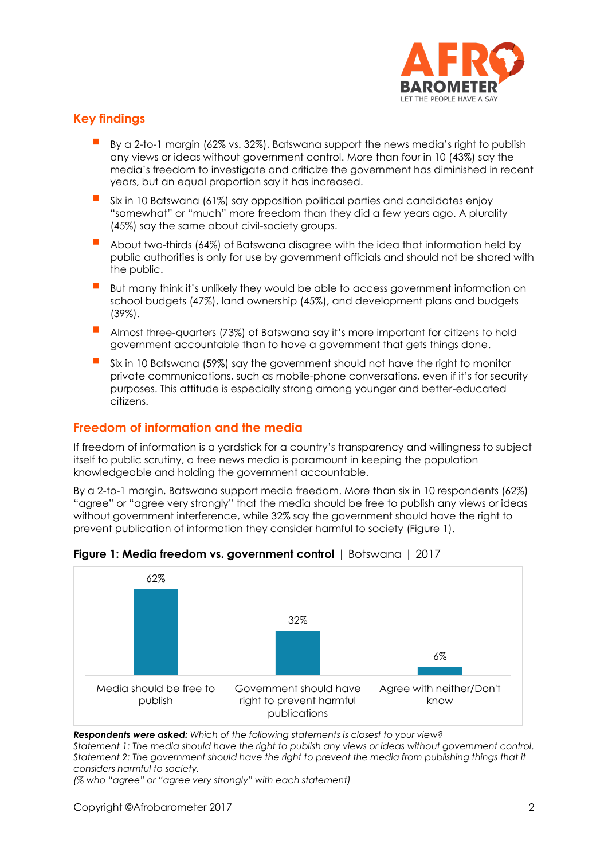

## **Key findings**

- By a 2-to-1 margin (62% vs. 32%), Batswana support the news media's right to publish any views or ideas without government control. More than four in 10 (43%) say the media's freedom to investigate and criticize the government has diminished in recent years, but an equal proportion say it has increased.
- Six in 10 Batswana (61%) say opposition political parties and candidates enjoy "somewhat" or "much" more freedom than they did a few years ago. A plurality (45%) say the same about civil-society groups.
- About two-thirds (64%) of Batswana disagree with the idea that information held by public authorities is only for use by government officials and should not be shared with the public.
- But many think it's unlikely they would be able to access government information on school budgets (47%), land ownership (45%), and development plans and budgets (39%).
- Almost three-quarters (73%) of Batswana say it's more important for citizens to hold government accountable than to have a government that gets things done.
- Six in 10 Batswana (59%) say the government should not have the right to monitor private communications, such as mobile-phone conversations, even if it's for security purposes. This attitude is especially strong among younger and better-educated citizens.

## **Freedom of information and the media**

If freedom of information is a yardstick for a country's transparency and willingness to subject itself to public scrutiny, a free news media is paramount in keeping the population knowledgeable and holding the government accountable.

By a 2-to-1 margin, Batswana support media freedom. More than six in 10 respondents (62%) "agree" or "agree very strongly" that the media should be free to publish any views or ideas without government interference, while 32% say the government should have the right to prevent publication of information they consider harmful to society (Figure 1).



#### **Figure 1: Media freedom vs. government control** | Botswana | 2017

*Respondents were asked: Which of the following statements is closest to your view?*

*Statement 1: The media should have the right to publish any views or ideas without government control. Statement 2: The government should have the right to prevent the media from publishing things that it considers harmful to society.*

*(% who "agree" or "agree very strongly" with each statement)*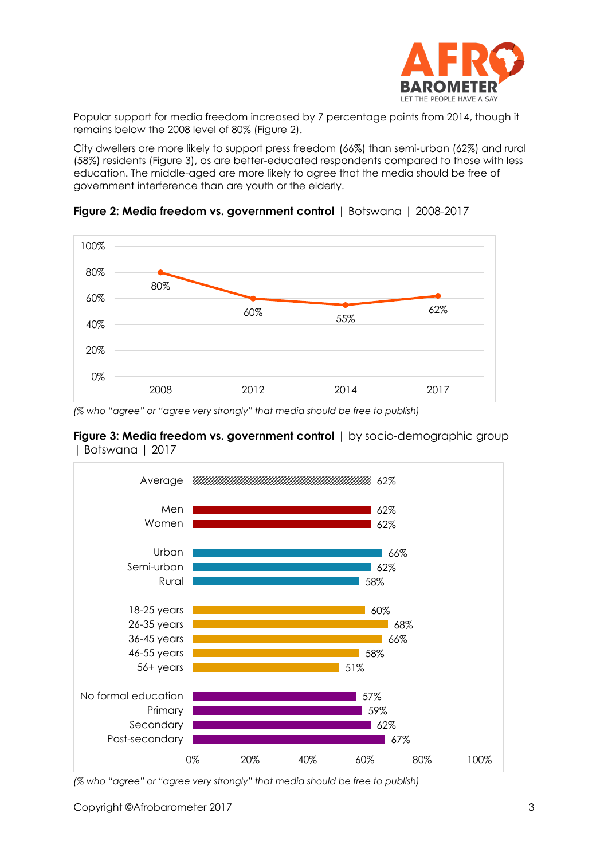

Popular support for media freedom increased by 7 percentage points from 2014, though it remains below the 2008 level of 80% (Figure 2).

City dwellers are more likely to support press freedom (66%) than semi-urban (62%) and rural (58%) residents (Figure 3), as are better-educated respondents compared to those with less education. The middle-aged are more likely to agree that the media should be free of government interference than are youth or the elderly.



**Figure 2: Media freedom vs. government control** | Botswana | 2008-2017

*(% who "agree" or "agree very strongly" that media should be free to publish)*

**Figure 3: Media freedom vs. government control** | by socio-demographic group | Botswana | 2017



*(% who "agree" or "agree very strongly" that media should be free to publish)*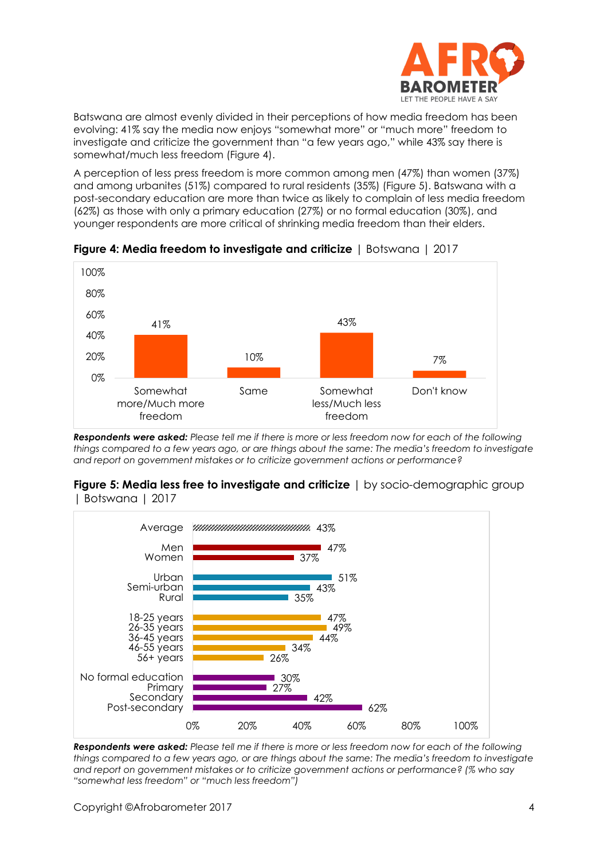

Batswana are almost evenly divided in their perceptions of how media freedom has been evolving: 41% say the media now enjoys "somewhat more" or "much more" freedom to investigate and criticize the government than "a few years ago," while 43% say there is somewhat/much less freedom (Figure 4).

A perception of less press freedom is more common among men (47%) than women (37%) and among urbanites (51%) compared to rural residents (35%) (Figure 5). Batswana with a post-secondary education are more than twice as likely to complain of less media freedom (62%) as those with only a primary education (27%) or no formal education (30%), and younger respondents are more critical of shrinking media freedom than their elders.



**Figure 4: Media freedom to investigate and criticize** | Botswana | 2017

*Respondents were asked: Please tell me if there is more or less freedom now for each of the following things compared to a few years ago, or are things about the same: The media's freedom to investigate and report on government mistakes or to criticize government actions or performance?*



#### **Figure 5: Media less free to investigate and criticize** | by socio-demographic group | Botswana | 2017

*Respondents were asked: Please tell me if there is more or less freedom now for each of the following things compared to a few years ago, or are things about the same: The media's freedom to investigate and report on government mistakes or to criticize government actions or performance? (% who say "somewhat less freedom" or "much less freedom")*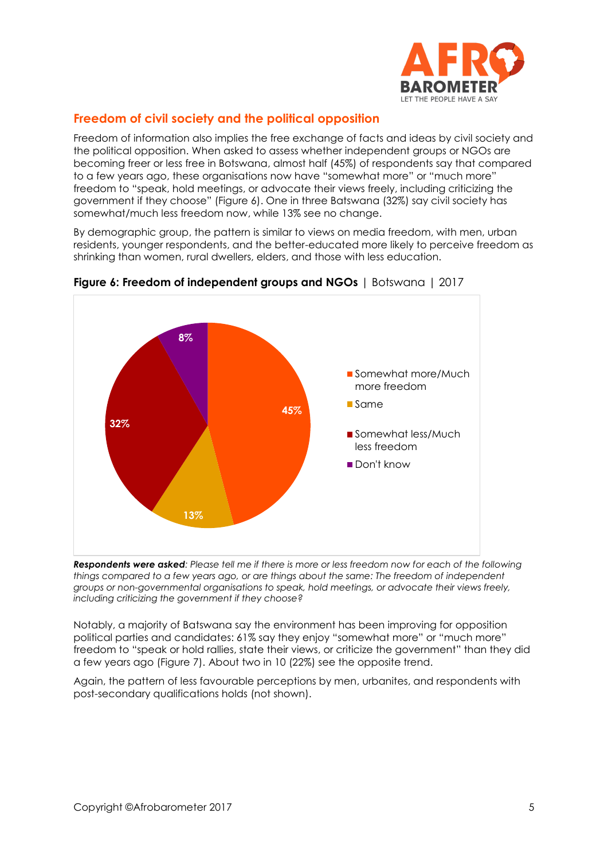

# **Freedom of civil society and the political opposition**

Freedom of information also implies the free exchange of facts and ideas by civil society and the political opposition. When asked to assess whether independent groups or NGOs are becoming freer or less free in Botswana, almost half (45%) of respondents say that compared to a few years ago, these organisations now have "somewhat more" or "much more" freedom to "speak, hold meetings, or advocate their views freely, including criticizing the government if they choose" (Figure 6). One in three Batswana (32%) say civil society has somewhat/much less freedom now, while 13% see no change.

By demographic group, the pattern is similar to views on media freedom, with men, urban residents, younger respondents, and the better-educated more likely to perceive freedom as shrinking than women, rural dwellers, elders, and those with less education.



## **Figure 6: Freedom of independent groups and NGOs** | Botswana | 2017

*Respondents were asked: Please tell me if there is more or less freedom now for each of the following things compared to a few years ago, or are things about the same: The freedom of independent groups or non-governmental organisations to speak, hold meetings, or advocate their views freely, including criticizing the government if they choose?*

Notably, a majority of Batswana say the environment has been improving for opposition political parties and candidates: 61% say they enjoy "somewhat more" or "much more" freedom to "speak or hold rallies, state their views, or criticize the government" than they did a few years ago (Figure 7). About two in 10 (22%) see the opposite trend.

Again, the pattern of less favourable perceptions by men, urbanites, and respondents with post-secondary qualifications holds (not shown).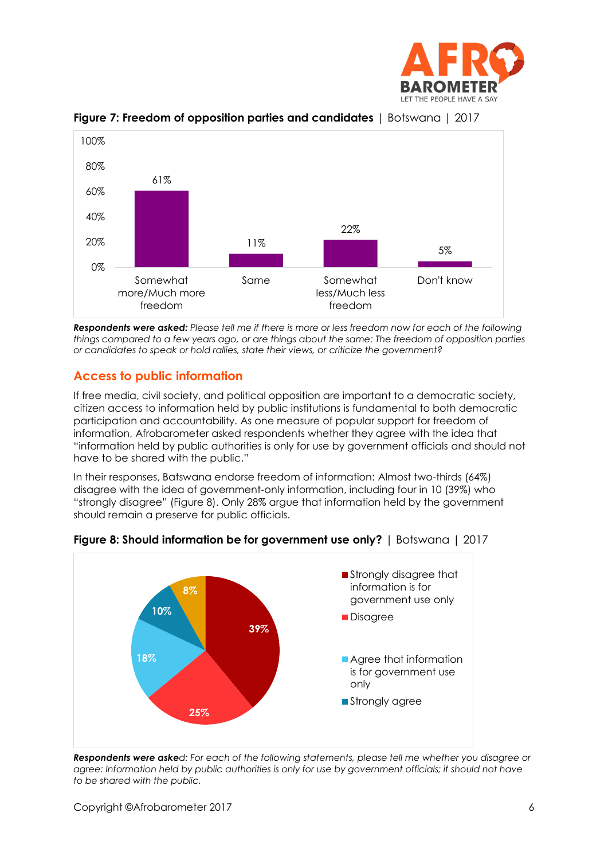



**Figure 7: Freedom of opposition parties and candidates** | Botswana | 2017

*Respondents were asked: Please tell me if there is more or less freedom now for each of the following things compared to a few years ago, or are things about the same: The freedom of opposition parties or candidates to speak or hold rallies, state their views, or criticize the government?*

# **Access to public information**

If free media, civil society, and political opposition are important to a democratic society, citizen access to information held by public institutions is fundamental to both democratic participation and accountability. As one measure of popular support for freedom of information, Afrobarometer asked respondents whether they agree with the idea that "information held by public authorities is only for use by government officials and should not have to be shared with the public."

In their responses, Batswana endorse freedom of information: Almost two-thirds (64%) disagree with the idea of government-only information, including four in 10 (39%) who "strongly disagree" (Figure 8). Only 28% argue that information held by the government should remain a preserve for public officials.



**Figure 8: Should information be for government use only?** | Botswana | 2017

*Respondents were asked: For each of the following statements, please tell me whether you disagree or agree: Information held by public authorities is only for use by government officials; it should not have to be shared with the public.*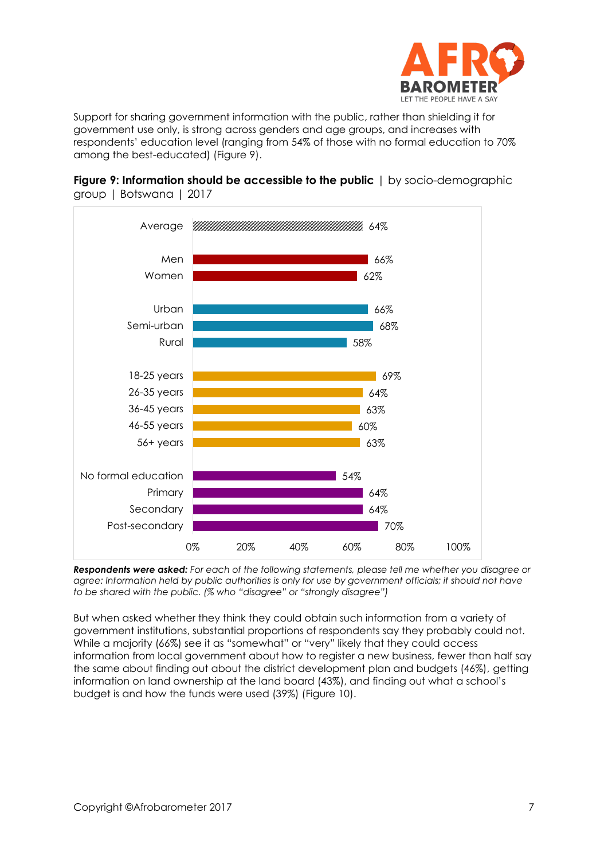

Support for sharing government information with the public, rather than shielding it for government use only, is strong across genders and age groups, and increases with respondents' education level (ranging from 54% of those with no formal education to 70% among the best-educated) (Figure 9).





*Respondents were asked: For each of the following statements, please tell me whether you disagree or agree: Information held by public authorities is only for use by government officials; it should not have to be shared with the public. (% who "disagree" or "strongly disagree")*

But when asked whether they think they could obtain such information from a variety of government institutions, substantial proportions of respondents say they probably could not. While a majority (66%) see it as "somewhat" or "very" likely that they could access information from local government about how to register a new business, fewer than half say the same about finding out about the district development plan and budgets (46%), getting information on land ownership at the land board (43%), and finding out what a school's budget is and how the funds were used (39%) (Figure 10).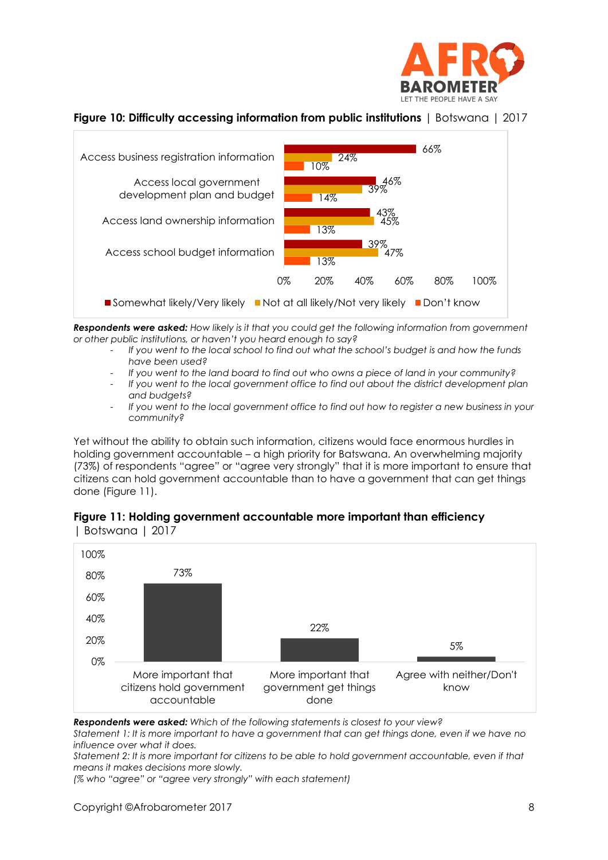

### **Figure 10: Difficulty accessing information from public institutions** | Botswana | 2017



*Respondents were asked: How likely is it that you could get the following information from government or other public institutions, or haven't you heard enough to say?* 

- *If you went to the local school to find out what the school's budget is and how the funds have been used?*
- *If you went to the land board to find out who owns a piece of land in your community?*
- *If you went to the local government office to find out about the district development plan and budgets?*
- *If you went to the local government office to find out how to register a new business in your community?*

Yet without the ability to obtain such information, citizens would face enormous hurdles in holding government accountable – a high priority for Batswana. An overwhelming majority (73%) of respondents "agree" or "agree very strongly" that it is more important to ensure that citizens can hold government accountable than to have a government that can get things done (Figure 11).



#### **Figure 11: Holding government accountable more important than efficiency**  | Botswana | 2017

*Respondents were asked: Which of the following statements is closest to your view?*

*Statement 1: It is more important to have a government that can get things done, even if we have no influence over what it does.*

*Statement 2: It is more important for citizens to be able to hold government accountable, even if that means it makes decisions more slowly.*

*(% who "agree" or "agree very strongly" with each statement)*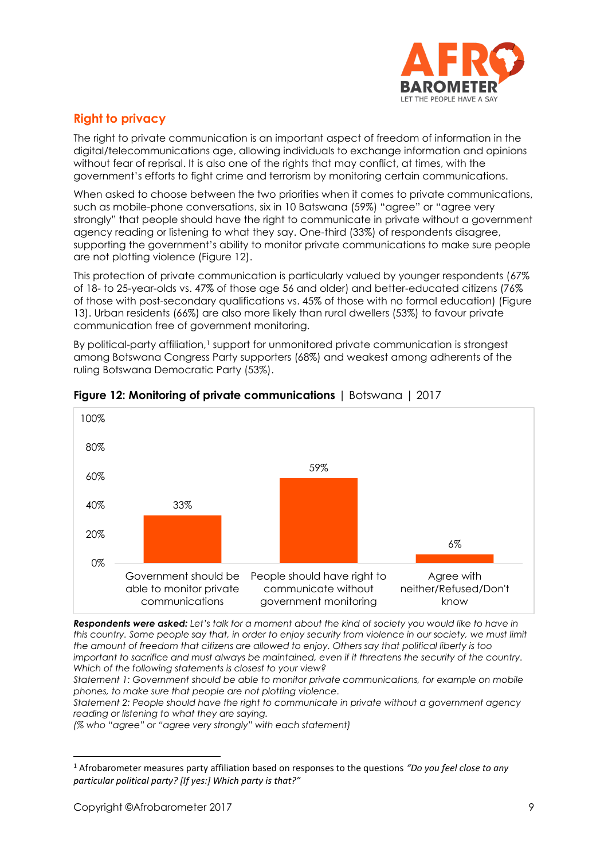

# **Right to privacy**

The right to private communication is an important aspect of freedom of information in the digital/telecommunications age, allowing individuals to exchange information and opinions without fear of reprisal. It is also one of the rights that may conflict, at times, with the government's efforts to fight crime and terrorism by monitoring certain communications.

When asked to choose between the two priorities when it comes to private communications, such as mobile-phone conversations, six in 10 Batswana (59%) "agree" or "agree very strongly" that people should have the right to communicate in private without a government agency reading or listening to what they say. One-third (33%) of respondents disagree, supporting the government's ability to monitor private communications to make sure people are not plotting violence (Figure 12).

This protection of private communication is particularly valued by younger respondents (67% of 18- to 25-year-olds vs. 47% of those age 56 and older) and better-educated citizens (76% of those with post-secondary qualifications vs. 45% of those with no formal education) (Figure 13). Urban residents (66%) are also more likely than rural dwellers (53%) to favour private communication free of government monitoring.

By political-party affiliation,<sup>1</sup> support for unmonitored private communication is strongest among Botswana Congress Party supporters (68%) and weakest among adherents of the ruling Botswana Democratic Party (53%).



#### **Figure 12: Monitoring of private communications** | Botswana | 2017

*Respondents were asked: Let's talk for a moment about the kind of society you would like to have in this country. Some people say that, in order to enjoy security from violence in our society, we must limit the amount of freedom that citizens are allowed to enjoy. Others say that political liberty is too important to sacrifice and must always be maintained, even if it threatens the security of the country. Which of the following statements is closest to your view?* 

*Statement 1: Government should be able to monitor private communications, for example on mobile phones, to make sure that people are not plotting violence.*

*Statement 2: People should have the right to communicate in private without a government agency reading or listening to what they are saying.*

*(% who "agree" or "agree very strongly" with each statement)*

<sup>1</sup> Afrobarometer measures party affiliation based on responses to the questions *"Do you feel close to any particular political party? [If yes:] Which party is that?"*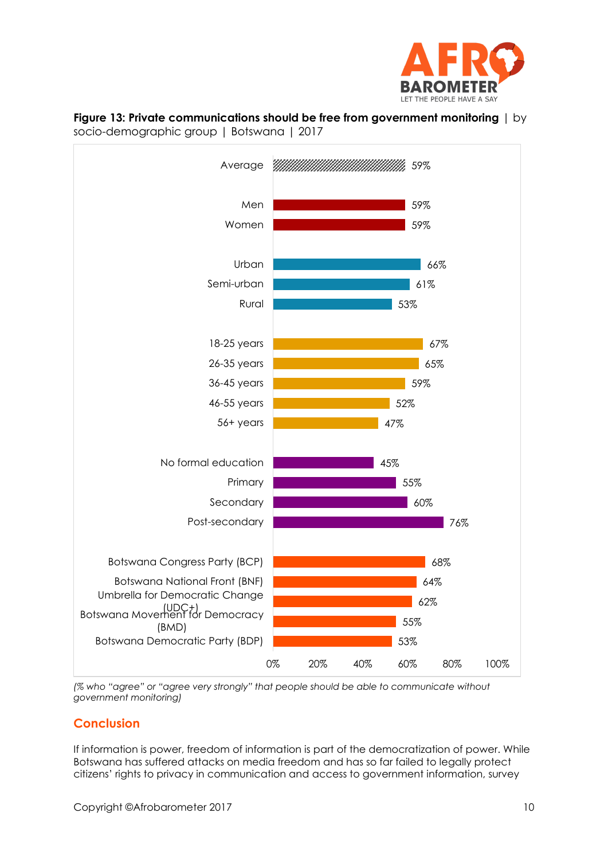





*(% who "agree" or "agree very strongly" that people should be able to communicate without government monitoring)*

## **Conclusion**

If information is power, freedom of information is part of the democratization of power. While Botswana has suffered attacks on media freedom and has so far failed to legally protect citizens' rights to privacy in communication and access to government information, survey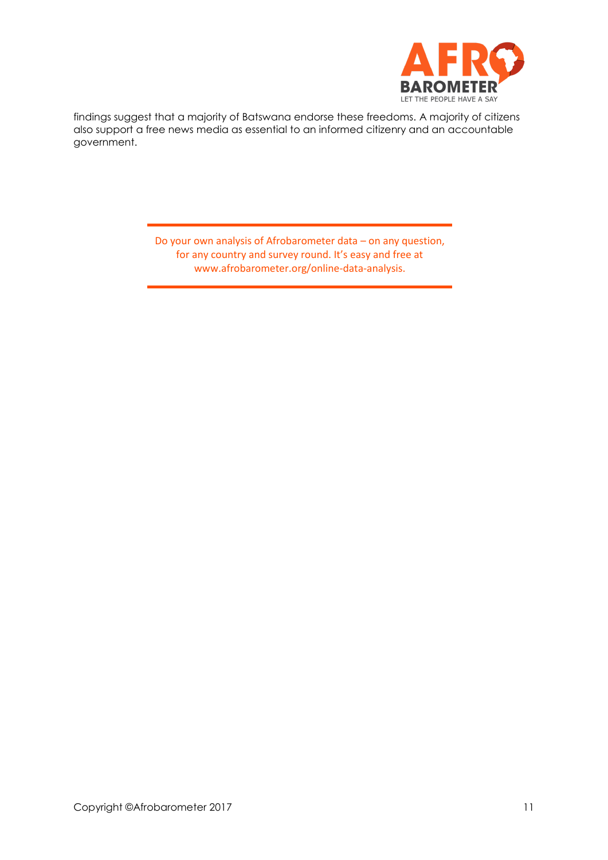

findings suggest that a majority of Batswana endorse these freedoms. A majority of citizens also support a free news media as essential to an informed citizenry and an accountable government.

> Do your own analysis of Afrobarometer data – on any question, for any country and survey round. It's easy and free at www.afrobarometer.org/online-data-analysis.